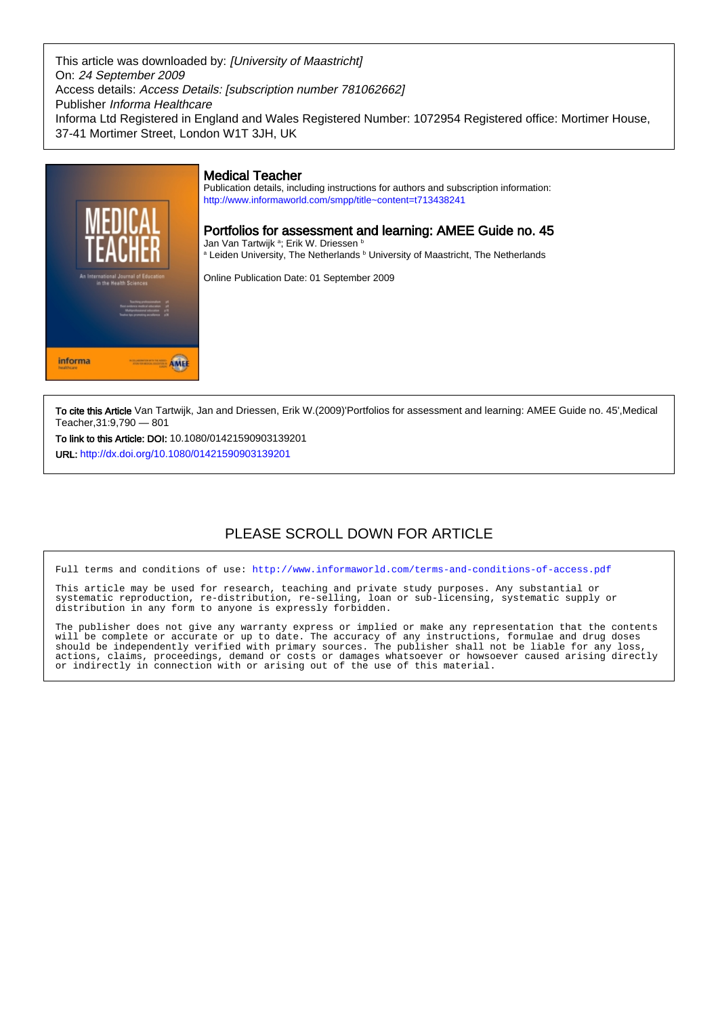This article was downloaded by: [University of Maastricht] On: 24 September 2009 Access details: Access Details: [subscription number 781062662] Publisher Informa Healthcare Informa Ltd Registered in England and Wales Registered Number: 1072954 Registered office: Mortimer House, 37-41 Mortimer Street, London W1T 3JH, UK



To cite this Article Van Tartwijk, Jan and Driessen, Erik W.(2009)'Portfolios for assessment and learning: AMEE Guide no. 45',Medical Teacher,31:9,790 — 801

To link to this Article: DOI: 10.1080/01421590903139201 URL: <http://dx.doi.org/10.1080/01421590903139201>

# PLEASE SCROLL DOWN FOR ARTICLE

Full terms and conditions of use:<http://www.informaworld.com/terms-and-conditions-of-access.pdf>

This article may be used for research, teaching and private study purposes. Any substantial or systematic reproduction, re-distribution, re-selling, loan or sub-licensing, systematic supply or distribution in any form to anyone is expressly forbidden.

The publisher does not give any warranty express or implied or make any representation that the contents will be complete or accurate or up to date. The accuracy of any instructions, formulae and drug doses should be independently verified with primary sources. The publisher shall not be liable for any loss, actions, claims, proceedings, demand or costs or damages whatsoever or howsoever caused arising directly or indirectly in connection with or arising out of the use of this material.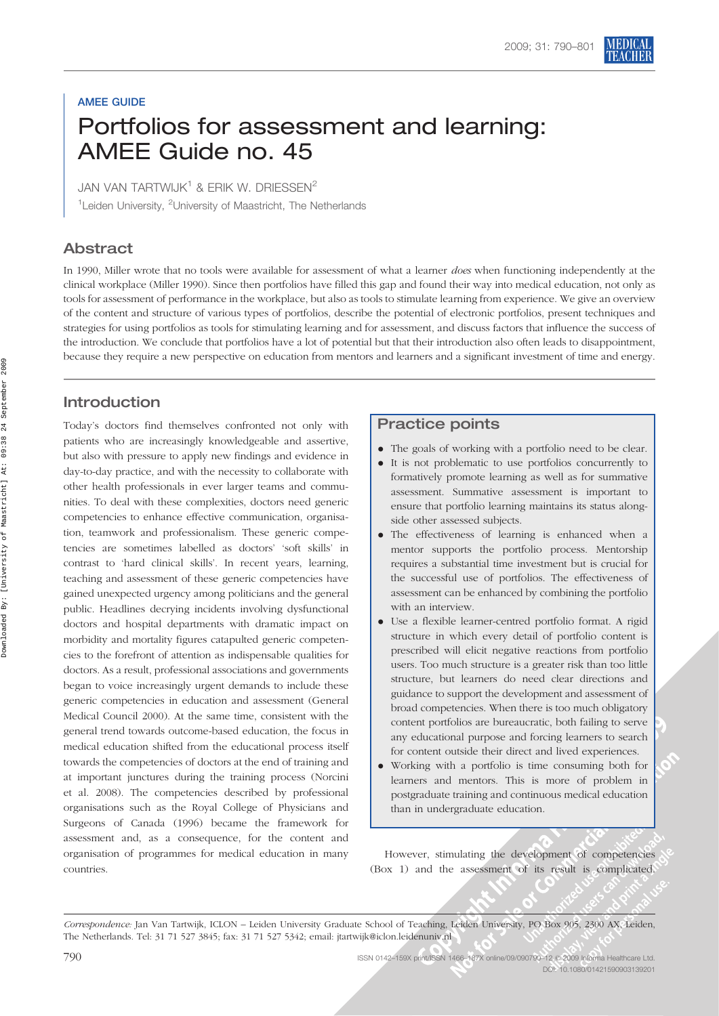# AMEE GUIDE Portfolios for assessment and learning: AMEE Guide no. 45

JAN VAN TARTWIJK<sup>1</sup> & ERIK W. DRIESSEN<sup>2</sup> <sup>1</sup>Leiden University, <sup>2</sup>University of Maastricht, The Netherlands

# Abstract

In 1990, Miller wrote that no tools were available for assessment of what a learner *does* when functioning independently at the clinical workplace (Miller 1990). Since then portfolios have filled this gap and found their way into medical education, not only as tools for assessment of performance in the workplace, but also as tools to stimulate learning from experience. We give an overview of the content and structure of various types of portfolios, describe the potential of electronic portfolios, present techniques and strategies for using portfolios as tools for stimulating learning and for assessment, and discuss factors that influence the success of the introduction. We conclude that portfolios have a lot of potential but that their introduction also often leads to disappointment, because they require a new perspective on education from mentors and learners and a significant investment of time and energy.

# Introduction

Today's doctors find themselves confronted not only with patients who are increasingly knowledgeable and assertive, but also with pressure to apply new findings and evidence in day-to-day practice, and with the necessity to collaborate with other health professionals in ever larger teams and communities. To deal with these complexities, doctors need generic competencies to enhance effective communication, organisation, teamwork and professionalism. These generic competencies are sometimes labelled as doctors' 'soft skills' in contrast to 'hard clinical skills'. In recent years, learning, teaching and assessment of these generic competencies have gained unexpected urgency among politicians and the general public. Headlines decrying incidents involving dysfunctional doctors and hospital departments with dramatic impact on morbidity and mortality figures catapulted generic competencies to the forefront of attention as indispensable qualities for doctors. As a result, professional associations and governments began to voice increasingly urgent demands to include these generic competencies in education and assessment (General Medical Council 2000). At the same time, consistent with the general trend towards outcome-based education, the focus in medical education shifted from the educational process itself towards the competencies of doctors at the end of training and at important junctures during the training process (Norcini et al. 2008). The competencies described by professional organisations such as the Royal College of Physicians and Surgeons of Canada (1996) became the framework for assessment and, as a consequence, for the content and organisation of programmes for medical education in many countries.

# Practice points

- . The goals of working with a portfolio need to be clear.
- . It is not problematic to use portfolios concurrently to formatively promote learning as well as for summative assessment. Summative assessment is important to ensure that portfolio learning maintains its status alongside other assessed subjects.
- . The effectiveness of learning is enhanced when a mentor supports the portfolio process. Mentorship requires a substantial time investment but is crucial for the successful use of portfolios. The effectiveness of assessment can be enhanced by combining the portfolio with an interview.
- . Use a flexible learner-centred portfolio format. A rigid structure in which every detail of portfolio content is prescribed will elicit negative reactions from portfolio users. Too much structure is a greater risk than too little structure, but learners do need clear directions and guidance to support the development and assessment of broad competencies. When there is too much obligatory content portfolios are bureaucratic, both failing to serve any educational purpose and forcing learners to search for content outside their direct and lived experiences.
- . Working with a portfolio is time consuming both for learners and mentors. This is more of problem in postgraduate training and continuous medical education than in undergraduate education.

However, stimulating the development of competencies (Box 1) and the assessment of its result is complicated.

Correspondence: Jan Van Tartwijk, ICLON – Leiden University Graduate School of Teaching, Leiden University, PO Box 905, 2300 AX, Leiden, The Netherlands. Tel: 31 71 527 3845; fax: 31 71 527 5342; email: jtartwijk@iclon.leidenuniv.nl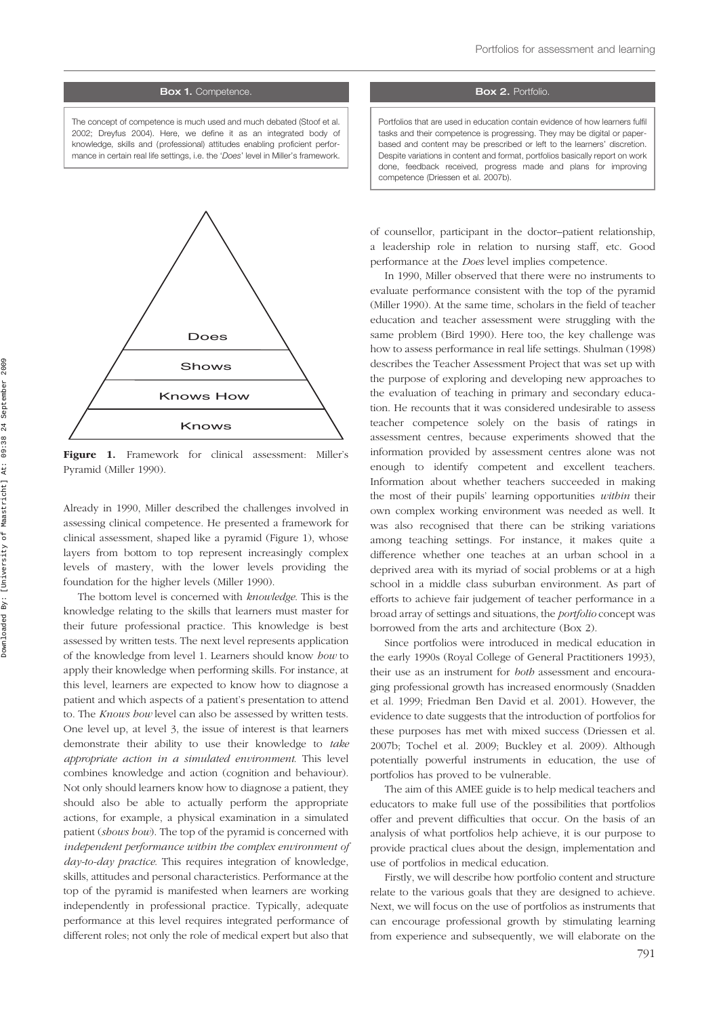### Box 1. Competence.

The concept of competence is much used and much debated (Stoof et al. 2002; Dreyfus 2004). Here, we define it as an integrated body of knowledge, skills and (professional) attitudes enabling proficient performance in certain real life settings, i.e. the 'Does' level in Miller's framework.



Figure 1. Framework for clinical assessment: Miller's Pyramid (Miller 1990).

Already in 1990, Miller described the challenges involved in assessing clinical competence. He presented a framework for clinical assessment, shaped like a pyramid (Figure 1), whose layers from bottom to top represent increasingly complex levels of mastery, with the lower levels providing the foundation for the higher levels (Miller 1990).

The bottom level is concerned with knowledge. This is the knowledge relating to the skills that learners must master for their future professional practice. This knowledge is best assessed by written tests. The next level represents application of the knowledge from level 1. Learners should know how to apply their knowledge when performing skills. For instance, at this level, learners are expected to know how to diagnose a patient and which aspects of a patient's presentation to attend to. The Knows how level can also be assessed by written tests. One level up, at level 3, the issue of interest is that learners demonstrate their ability to use their knowledge to take appropriate action in a simulated environment. This level combines knowledge and action (cognition and behaviour). Not only should learners know how to diagnose a patient, they should also be able to actually perform the appropriate actions, for example, a physical examination in a simulated patient (shows how). The top of the pyramid is concerned with independent performance within the complex environment of day-to-day practice. This requires integration of knowledge, skills, attitudes and personal characteristics. Performance at the top of the pyramid is manifested when learners are working independently in professional practice. Typically, adequate performance at this level requires integrated performance of different roles; not only the role of medical expert but also that

#### Box 2. Portfolio.

Portfolios that are used in education contain evidence of how learners fulfil tasks and their competence is progressing. They may be digital or paperbased and content may be prescribed or left to the learners' discretion. Despite variations in content and format, portfolios basically report on work done, feedback received, progress made and plans for improving competence (Driessen et al. 2007b).

of counsellor, participant in the doctor–patient relationship, a leadership role in relation to nursing staff, etc. Good performance at the Does level implies competence.

In 1990, Miller observed that there were no instruments to evaluate performance consistent with the top of the pyramid (Miller 1990). At the same time, scholars in the field of teacher education and teacher assessment were struggling with the same problem (Bird 1990). Here too, the key challenge was how to assess performance in real life settings. Shulman (1998) describes the Teacher Assessment Project that was set up with the purpose of exploring and developing new approaches to the evaluation of teaching in primary and secondary education. He recounts that it was considered undesirable to assess teacher competence solely on the basis of ratings in assessment centres, because experiments showed that the information provided by assessment centres alone was not enough to identify competent and excellent teachers. Information about whether teachers succeeded in making the most of their pupils' learning opportunities within their own complex working environment was needed as well. It was also recognised that there can be striking variations among teaching settings. For instance, it makes quite a difference whether one teaches at an urban school in a deprived area with its myriad of social problems or at a high school in a middle class suburban environment. As part of efforts to achieve fair judgement of teacher performance in a broad array of settings and situations, the portfolio concept was borrowed from the arts and architecture (Box 2).

Since portfolios were introduced in medical education in the early 1990s (Royal College of General Practitioners 1993), their use as an instrument for both assessment and encouraging professional growth has increased enormously (Snadden et al. 1999; Friedman Ben David et al. 2001). However, the evidence to date suggests that the introduction of portfolios for these purposes has met with mixed success (Driessen et al. 2007b; Tochel et al. 2009; Buckley et al. 2009). Although potentially powerful instruments in education, the use of portfolios has proved to be vulnerable.

The aim of this AMEE guide is to help medical teachers and educators to make full use of the possibilities that portfolios offer and prevent difficulties that occur. On the basis of an analysis of what portfolios help achieve, it is our purpose to provide practical clues about the design, implementation and use of portfolios in medical education.

Firstly, we will describe how portfolio content and structure relate to the various goals that they are designed to achieve. Next, we will focus on the use of portfolios as instruments that can encourage professional growth by stimulating learning from experience and subsequently, we will elaborate on the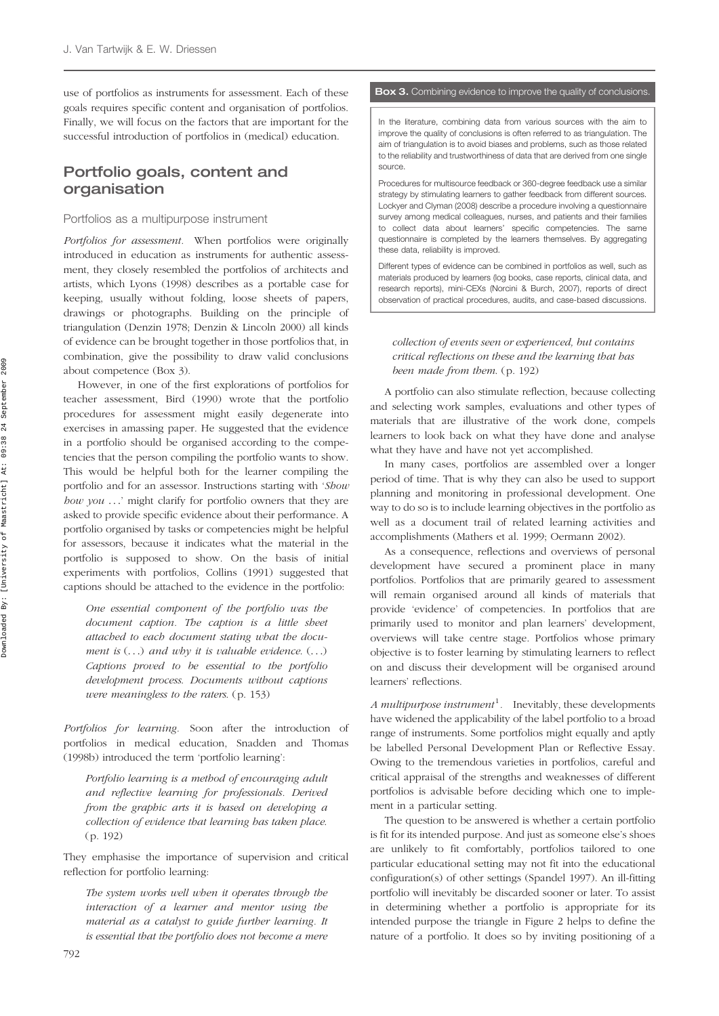use of portfolios as instruments for assessment. Each of these goals requires specific content and organisation of portfolios. Finally, we will focus on the factors that are important for the successful introduction of portfolios in (medical) education.

# Portfolio goals, content and organisation

### Portfolios as a multipurpose instrument

Portfolios for assessment. When portfolios were originally introduced in education as instruments for authentic assessment, they closely resembled the portfolios of architects and artists, which Lyons (1998) describes as a portable case for keeping, usually without folding, loose sheets of papers, drawings or photographs. Building on the principle of triangulation (Denzin 1978; Denzin & Lincoln 2000) all kinds of evidence can be brought together in those portfolios that, in combination, give the possibility to draw valid conclusions about competence (Box 3).

However, in one of the first explorations of portfolios for teacher assessment, Bird (1990) wrote that the portfolio procedures for assessment might easily degenerate into exercises in amassing paper. He suggested that the evidence in a portfolio should be organised according to the competencies that the person compiling the portfolio wants to show. This would be helpful both for the learner compiling the portfolio and for an assessor. Instructions starting with 'Show how you ...' might clarify for portfolio owners that they are asked to provide specific evidence about their performance. A portfolio organised by tasks or competencies might be helpful for assessors, because it indicates what the material in the portfolio is supposed to show. On the basis of initial experiments with portfolios, Collins (1991) suggested that captions should be attached to the evidence in the portfolio:

One essential component of the portfolio was the document caption. The caption is a little sheet attached to each document stating what the document is  $(...)$  and why it is valuable evidence.  $(...)$ Captions proved to be essential to the portfolio development process. Documents without captions were meaningless to the raters. (p. 153)

Portfolios for learning. Soon after the introduction of portfolios in medical education, Snadden and Thomas (1998b) introduced the term 'portfolio learning':

Portfolio learning is a method of encouraging adult and reflective learning for professionals. Derived from the graphic arts it is based on developing a collection of evidence that learning has taken place. (p. 192)

They emphasise the importance of supervision and critical reflection for portfolio learning:

The system works well when it operates through the interaction of a learner and mentor using the material as a catalyst to guide further learning. It is essential that the portfolio does not become a mere

### **Box 3.** Combining evidence to improve the quality of conclusions.

In the literature, combining data from various sources with the aim to improve the quality of conclusions is often referred to as triangulation. The aim of triangulation is to avoid biases and problems, such as those related to the reliability and trustworthiness of data that are derived from one single source.

Procedures for multisource feedback or 360-degree feedback use a similar strategy by stimulating learners to gather feedback from different sources. Lockyer and Clyman (2008) describe a procedure involving a questionnaire survey among medical colleagues, nurses, and patients and their families to collect data about learners' specific competencies. The same questionnaire is completed by the learners themselves. By aggregating these data, reliability is improved.

Different types of evidence can be combined in portfolios as well, such as materials produced by learners (log books, case reports, clinical data, and research reports), mini-CEXs (Norcini & Burch, 2007), reports of direct observation of practical procedures, audits, and case-based discussions.

### collection of events seen or experienced, but contains critical reflections on these and the learning that has been made from them. (p. 192)

A portfolio can also stimulate reflection, because collecting and selecting work samples, evaluations and other types of materials that are illustrative of the work done, compels learners to look back on what they have done and analyse what they have and have not yet accomplished.

In many cases, portfolios are assembled over a longer period of time. That is why they can also be used to support planning and monitoring in professional development. One way to do so is to include learning objectives in the portfolio as well as a document trail of related learning activities and accomplishments (Mathers et al. 1999; Oermann 2002).

As a consequence, reflections and overviews of personal development have secured a prominent place in many portfolios. Portfolios that are primarily geared to assessment will remain organised around all kinds of materials that provide 'evidence' of competencies. In portfolios that are primarily used to monitor and plan learners' development, overviews will take centre stage. Portfolios whose primary objective is to foster learning by stimulating learners to reflect on and discuss their development will be organised around learners' reflections.

A multipurpose instrument<sup>1</sup>. Inevitably, these developments have widened the applicability of the label portfolio to a broad range of instruments. Some portfolios might equally and aptly be labelled Personal Development Plan or Reflective Essay. Owing to the tremendous varieties in portfolios, careful and critical appraisal of the strengths and weaknesses of different portfolios is advisable before deciding which one to implement in a particular setting.

The question to be answered is whether a certain portfolio is fit for its intended purpose. And just as someone else's shoes are unlikely to fit comfortably, portfolios tailored to one particular educational setting may not fit into the educational configuration(s) of other settings (Spandel 1997). An ill-fitting portfolio will inevitably be discarded sooner or later. To assist in determining whether a portfolio is appropriate for its intended purpose the triangle in Figure 2 helps to define the nature of a portfolio. It does so by inviting positioning of a

2009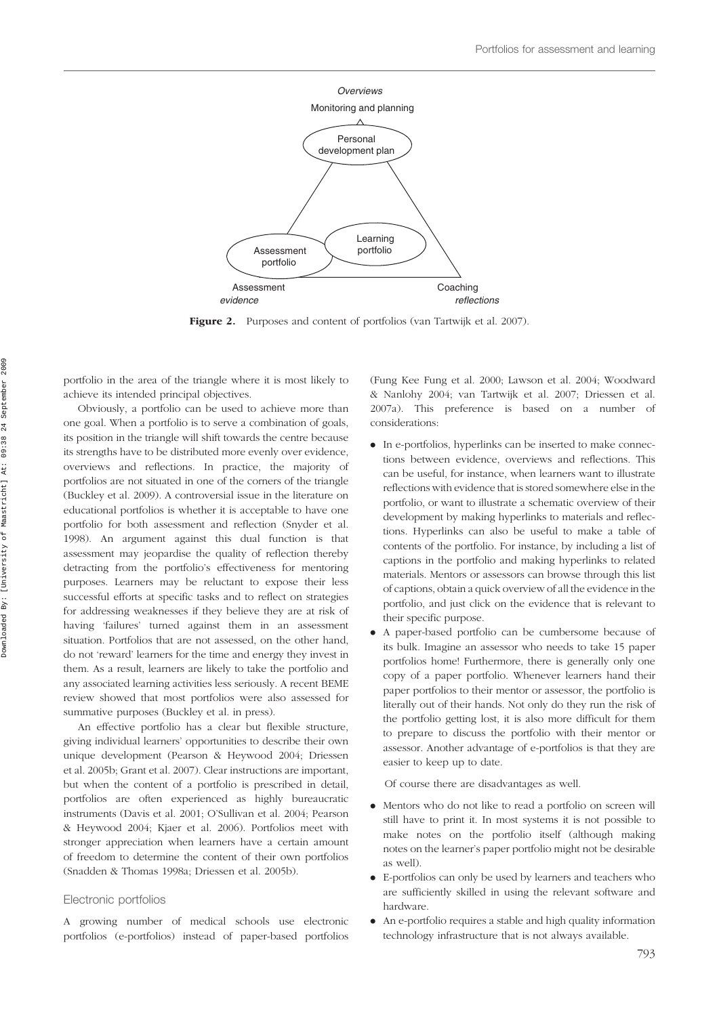

Figure 2. Purposes and content of portfolios (van Tartwijk et al. 2007).

portfolio in the area of the triangle where it is most likely to achieve its intended principal objectives.

Obviously, a portfolio can be used to achieve more than one goal. When a portfolio is to serve a combination of goals, its position in the triangle will shift towards the centre because its strengths have to be distributed more evenly over evidence, overviews and reflections. In practice, the majority of portfolios are not situated in one of the corners of the triangle (Buckley et al. 2009). A controversial issue in the literature on educational portfolios is whether it is acceptable to have one portfolio for both assessment and reflection (Snyder et al. 1998). An argument against this dual function is that assessment may jeopardise the quality of reflection thereby detracting from the portfolio's effectiveness for mentoring purposes. Learners may be reluctant to expose their less successful efforts at specific tasks and to reflect on strategies for addressing weaknesses if they believe they are at risk of having 'failures' turned against them in an assessment situation. Portfolios that are not assessed, on the other hand, do not 'reward' learners for the time and energy they invest in them. As a result, learners are likely to take the portfolio and any associated learning activities less seriously. A recent BEME review showed that most portfolios were also assessed for summative purposes (Buckley et al. in press).

An effective portfolio has a clear but flexible structure, giving individual learners' opportunities to describe their own unique development (Pearson & Heywood 2004; Driessen et al. 2005b; Grant et al. 2007). Clear instructions are important, but when the content of a portfolio is prescribed in detail, portfolios are often experienced as highly bureaucratic instruments (Davis et al. 2001; O'Sullivan et al. 2004; Pearson & Heywood 2004; Kjaer et al. 2006). Portfolios meet with stronger appreciation when learners have a certain amount of freedom to determine the content of their own portfolios (Snadden & Thomas 1998a; Driessen et al. 2005b).

#### Electronic portfolios

A growing number of medical schools use electronic portfolios (e-portfolios) instead of paper-based portfolios (Fung Kee Fung et al. 2000; Lawson et al. 2004; Woodward & Nanlohy 2004; van Tartwijk et al. 2007; Driessen et al. 2007a). This preference is based on a number of considerations:

- . In e-portfolios, hyperlinks can be inserted to make connections between evidence, overviews and reflections. This can be useful, for instance, when learners want to illustrate reflections with evidence that is stored somewhere else in the portfolio, or want to illustrate a schematic overview of their development by making hyperlinks to materials and reflections. Hyperlinks can also be useful to make a table of contents of the portfolio. For instance, by including a list of captions in the portfolio and making hyperlinks to related materials. Mentors or assessors can browse through this list of captions, obtain a quick overview of all the evidence in the portfolio, and just click on the evidence that is relevant to their specific purpose.
- . A paper-based portfolio can be cumbersome because of its bulk. Imagine an assessor who needs to take 15 paper portfolios home! Furthermore, there is generally only one copy of a paper portfolio. Whenever learners hand their paper portfolios to their mentor or assessor, the portfolio is literally out of their hands. Not only do they run the risk of the portfolio getting lost, it is also more difficult for them to prepare to discuss the portfolio with their mentor or assessor. Another advantage of e-portfolios is that they are easier to keep up to date.

Of course there are disadvantages as well.

- . Mentors who do not like to read a portfolio on screen will still have to print it. In most systems it is not possible to make notes on the portfolio itself (although making notes on the learner's paper portfolio might not be desirable as well).
- . E-portfolios can only be used by learners and teachers who are sufficiently skilled in using the relevant software and hardware.
- . An e-portfolio requires a stable and high quality information technology infrastructure that is not always available.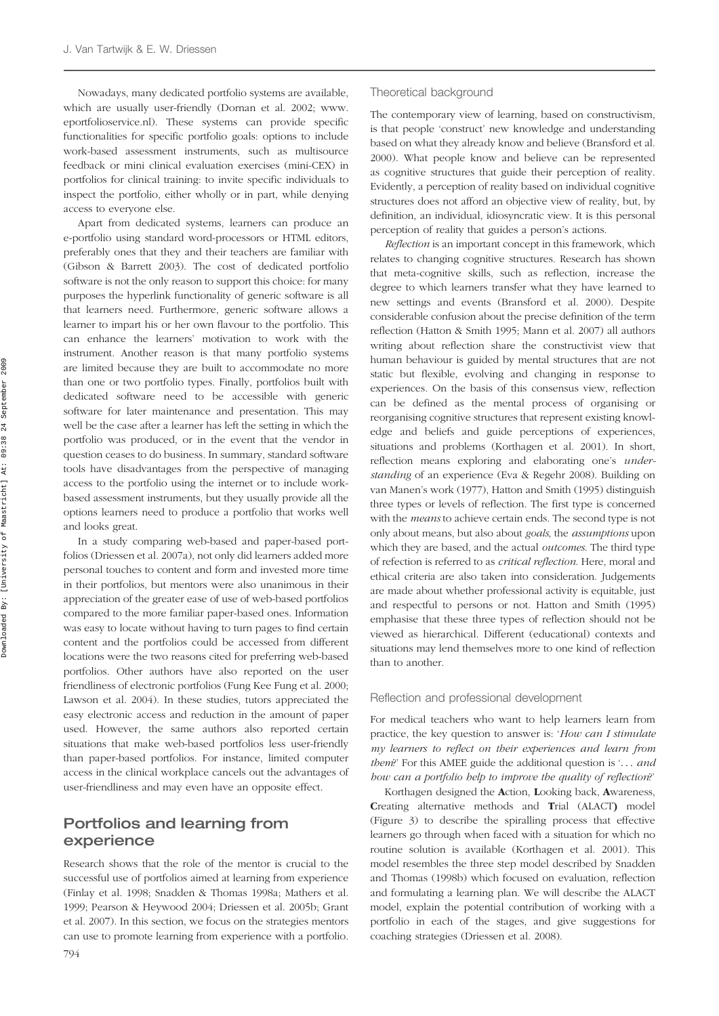Nowadays, many dedicated portfolio systems are available, which are usually user-friendly (Dornan et al. 2002; www. eportfolioservice.nl). These systems can provide specific functionalities for specific portfolio goals: options to include work-based assessment instruments, such as multisource feedback or mini clinical evaluation exercises (mini-CEX) in portfolios for clinical training: to invite specific individuals to inspect the portfolio, either wholly or in part, while denying access to everyone else.

Apart from dedicated systems, learners can produce an e-portfolio using standard word-processors or HTML editors, preferably ones that they and their teachers are familiar with (Gibson & Barrett 2003). The cost of dedicated portfolio software is not the only reason to support this choice: for many purposes the hyperlink functionality of generic software is all that learners need. Furthermore, generic software allows a learner to impart his or her own flavour to the portfolio. This can enhance the learners' motivation to work with the instrument. Another reason is that many portfolio systems are limited because they are built to accommodate no more than one or two portfolio types. Finally, portfolios built with dedicated software need to be accessible with generic software for later maintenance and presentation. This may well be the case after a learner has left the setting in which the portfolio was produced, or in the event that the vendor in question ceases to do business. In summary, standard software tools have disadvantages from the perspective of managing access to the portfolio using the internet or to include workbased assessment instruments, but they usually provide all the options learners need to produce a portfolio that works well and looks great.

In a study comparing web-based and paper-based portfolios (Driessen et al. 2007a), not only did learners added more personal touches to content and form and invested more time in their portfolios, but mentors were also unanimous in their appreciation of the greater ease of use of web-based portfolios compared to the more familiar paper-based ones. Information was easy to locate without having to turn pages to find certain content and the portfolios could be accessed from different locations were the two reasons cited for preferring web-based portfolios. Other authors have also reported on the user friendliness of electronic portfolios (Fung Kee Fung et al. 2000; Lawson et al. 2004). In these studies, tutors appreciated the easy electronic access and reduction in the amount of paper used. However, the same authors also reported certain situations that make web-based portfolios less user-friendly than paper-based portfolios. For instance, limited computer access in the clinical workplace cancels out the advantages of user-friendliness and may even have an opposite effect.

# Portfolios and learning from experience

Research shows that the role of the mentor is crucial to the successful use of portfolios aimed at learning from experience (Finlay et al. 1998; Snadden & Thomas 1998a; Mathers et al. 1999; Pearson & Heywood 2004; Driessen et al. 2005b; Grant et al. 2007). In this section, we focus on the strategies mentors can use to promote learning from experience with a portfolio.

### Theoretical background

The contemporary view of learning, based on constructivism, is that people 'construct' new knowledge and understanding based on what they already know and believe (Bransford et al. 2000). What people know and believe can be represented as cognitive structures that guide their perception of reality. Evidently, a perception of reality based on individual cognitive structures does not afford an objective view of reality, but, by definition, an individual, idiosyncratic view. It is this personal perception of reality that guides a person's actions.

Reflection is an important concept in this framework, which relates to changing cognitive structures. Research has shown that meta-cognitive skills, such as reflection, increase the degree to which learners transfer what they have learned to new settings and events (Bransford et al. 2000). Despite considerable confusion about the precise definition of the term reflection (Hatton & Smith 1995; Mann et al. 2007) all authors writing about reflection share the constructivist view that human behaviour is guided by mental structures that are not static but flexible, evolving and changing in response to experiences. On the basis of this consensus view, reflection can be defined as the mental process of organising or reorganising cognitive structures that represent existing knowledge and beliefs and guide perceptions of experiences, situations and problems (Korthagen et al. 2001). In short, reflection means exploring and elaborating one's understanding of an experience (Eva & Regehr 2008). Building on van Manen's work (1977), Hatton and Smith (1995) distinguish three types or levels of reflection. The first type is concerned with the means to achieve certain ends. The second type is not only about means, but also about goals, the assumptions upon which they are based, and the actual *outcomes*. The third type of refection is referred to as critical reflection. Here, moral and ethical criteria are also taken into consideration. Judgements are made about whether professional activity is equitable, just and respectful to persons or not. Hatton and Smith (1995) emphasise that these three types of reflection should not be viewed as hierarchical. Different (educational) contexts and situations may lend themselves more to one kind of reflection than to another.

### Reflection and professional development

For medical teachers who want to help learners learn from practice, the key question to answer is: 'How can I stimulate my learners to reflect on their experiences and learn from them?' For this AMEE guide the additional question is '... and how can a portfolio help to improve the quality of reflection?'

Korthagen designed the Action, Looking back, Awareness, Creating alternative methods and Trial (ALACT) model (Figure 3) to describe the spiralling process that effective learners go through when faced with a situation for which no routine solution is available (Korthagen et al. 2001). This model resembles the three step model described by Snadden and Thomas (1998b) which focused on evaluation, reflection and formulating a learning plan. We will describe the ALACT model, explain the potential contribution of working with a portfolio in each of the stages, and give suggestions for coaching strategies (Driessen et al. 2008).

2009

September

24 09:38 At: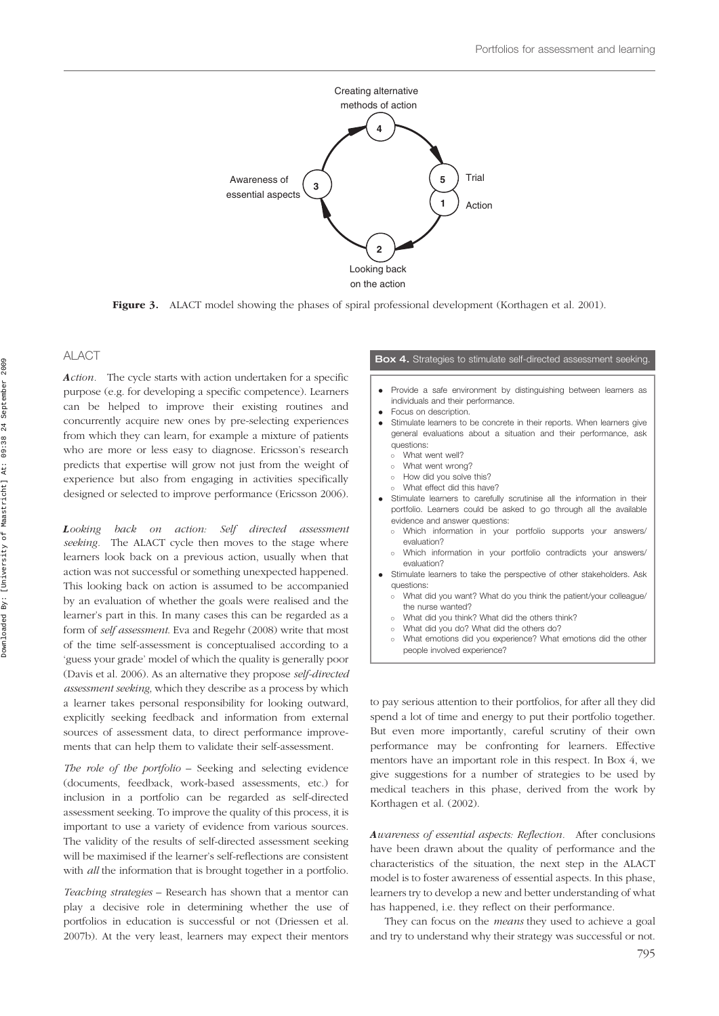

Figure 3. ALACT model showing the phases of spiral professional development (Korthagen et al. 2001).

### ALACT

Action. The cycle starts with action undertaken for a specific purpose (e.g. for developing a specific competence). Learners can be helped to improve their existing routines and concurrently acquire new ones by pre-selecting experiences from which they can learn, for example a mixture of patients who are more or less easy to diagnose. Ericsson's research predicts that expertise will grow not just from the weight of experience but also from engaging in activities specifically designed or selected to improve performance (Ericsson 2006).

Looking back on action: Self directed assessment seeking. The ALACT cycle then moves to the stage where learners look back on a previous action, usually when that action was not successful or something unexpected happened. This looking back on action is assumed to be accompanied by an evaluation of whether the goals were realised and the learner's part in this. In many cases this can be regarded as a form of self assessment. Eva and Regehr (2008) write that most of the time self-assessment is conceptualised according to a 'guess your grade' model of which the quality is generally poor (Davis et al. 2006). As an alternative they propose self-directed assessment seeking, which they describe as a process by which a learner takes personal responsibility for looking outward, explicitly seeking feedback and information from external sources of assessment data, to direct performance improvements that can help them to validate their self-assessment.

The role of the portfolio – Seeking and selecting evidence (documents, feedback, work-based assessments, etc.) for inclusion in a portfolio can be regarded as self-directed assessment seeking. To improve the quality of this process, it is important to use a variety of evidence from various sources. The validity of the results of self-directed assessment seeking will be maximised if the learner's self-reflections are consistent with all the information that is brought together in a portfolio.

Teaching strategies – Research has shown that a mentor can play a decisive role in determining whether the use of portfolios in education is successful or not (Driessen et al. 2007b). At the very least, learners may expect their mentors

### Box 4. Strategies to stimulate self-directed assessment seeking.

- . Provide a safe environment by distinguishing between learners as individuals and their performance.
- . Focus on description.
- . Stimulate learners to be concrete in their reports. When learners give general evaluations about a situation and their performance, ask questions:
	- $\circ$ What went well?
	- What went wrong?
	- $\circ$ How did you solve this?
	- $\circ$ What effect did this have?
- . Stimulate learners to carefully scrutinise all the information in their portfolio. Learners could be asked to go through all the available evidence and answer questions:
	- $\circ$  Which information in your portfolio supports your answers/ evaluation?
	- Which information in your portfolio contradicts your answers/ evaluation?
- . Stimulate learners to take the perspective of other stakeholders. Ask questions:
	- What did you want? What do you think the patient/your colleague/ the nurse wanted?
	- $\sim$ What did you think? What did the others think?
	- o What did you do? What did the others do?
	- $\circ$  What emotions did you experience? What emotions did the other people involved experience?

to pay serious attention to their portfolios, for after all they did spend a lot of time and energy to put their portfolio together. But even more importantly, careful scrutiny of their own performance may be confronting for learners. Effective mentors have an important role in this respect. In Box 4, we give suggestions for a number of strategies to be used by medical teachers in this phase, derived from the work by Korthagen et al. (2002).

Awareness of essential aspects: Reflection. After conclusions have been drawn about the quality of performance and the characteristics of the situation, the next step in the ALACT model is to foster awareness of essential aspects. In this phase, learners try to develop a new and better understanding of what has happened, i.e. they reflect on their performance.

They can focus on the *means* they used to achieve a goal and try to understand why their strategy was successful or not.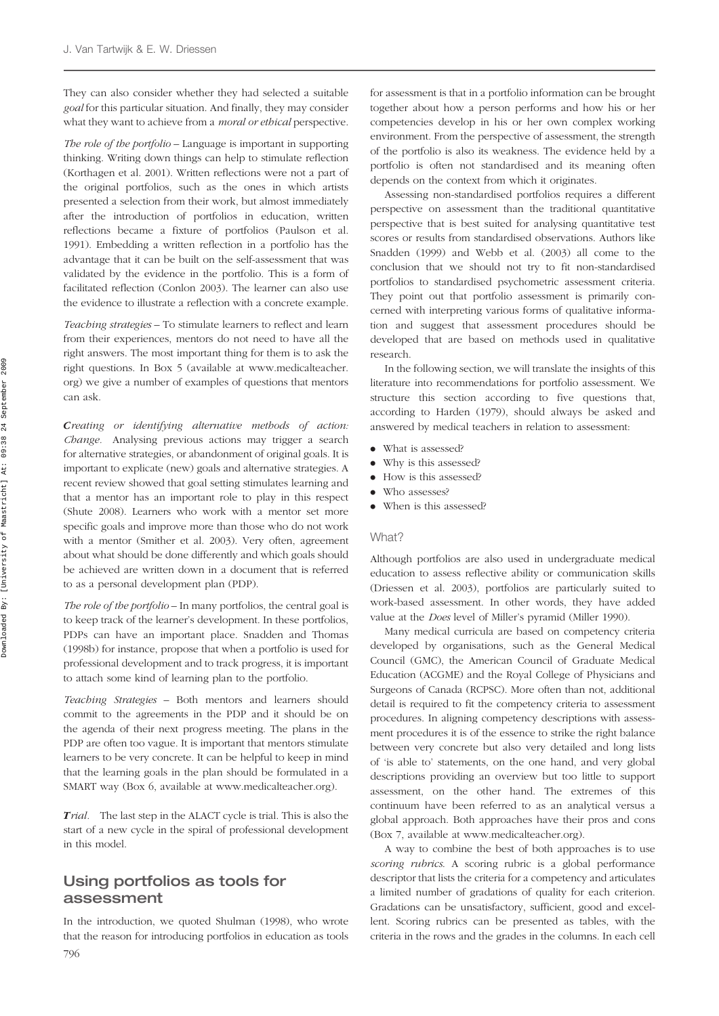They can also consider whether they had selected a suitable goal for this particular situation. And finally, they may consider what they want to achieve from a moral or ethical perspective.

The role of the portfolio – Language is important in supporting thinking. Writing down things can help to stimulate reflection (Korthagen et al. 2001). Written reflections were not a part of the original portfolios, such as the ones in which artists presented a selection from their work, but almost immediately after the introduction of portfolios in education, written reflections became a fixture of portfolios (Paulson et al. 1991). Embedding a written reflection in a portfolio has the advantage that it can be built on the self-assessment that was validated by the evidence in the portfolio. This is a form of facilitated reflection (Conlon 2003). The learner can also use the evidence to illustrate a reflection with a concrete example.

Teaching strategies – To stimulate learners to reflect and learn from their experiences, mentors do not need to have all the right answers. The most important thing for them is to ask the right questions. In Box 5 (available at www.medicalteacher. org) we give a number of examples of questions that mentors can ask.

Creating or identifying alternative methods of action: Change. Analysing previous actions may trigger a search for alternative strategies, or abandonment of original goals. It is important to explicate (new) goals and alternative strategies. A recent review showed that goal setting stimulates learning and that a mentor has an important role to play in this respect (Shute 2008). Learners who work with a mentor set more specific goals and improve more than those who do not work with a mentor (Smither et al. 2003). Very often, agreement about what should be done differently and which goals should be achieved are written down in a document that is referred to as a personal development plan (PDP).

The role of the portfolio – In many portfolios, the central goal is to keep track of the learner's development. In these portfolios, PDPs can have an important place. Snadden and Thomas (1998b) for instance, propose that when a portfolio is used for professional development and to track progress, it is important to attach some kind of learning plan to the portfolio.

Teaching Strategies – Both mentors and learners should commit to the agreements in the PDP and it should be on the agenda of their next progress meeting. The plans in the PDP are often too vague. It is important that mentors stimulate learners to be very concrete. It can be helpful to keep in mind that the learning goals in the plan should be formulated in a SMART way (Box 6, available at www.medicalteacher.org).

Trial. The last step in the ALACT cycle is trial. This is also the start of a new cycle in the spiral of professional development in this model.

# Using portfolios as tools for assessment

In the introduction, we quoted Shulman (1998), who wrote that the reason for introducing portfolios in education as tools 796

for assessment is that in a portfolio information can be brought together about how a person performs and how his or her competencies develop in his or her own complex working environment. From the perspective of assessment, the strength of the portfolio is also its weakness. The evidence held by a portfolio is often not standardised and its meaning often depends on the context from which it originates.

Assessing non-standardised portfolios requires a different perspective on assessment than the traditional quantitative perspective that is best suited for analysing quantitative test scores or results from standardised observations. Authors like Snadden (1999) and Webb et al. (2003) all come to the conclusion that we should not try to fit non-standardised portfolios to standardised psychometric assessment criteria. They point out that portfolio assessment is primarily concerned with interpreting various forms of qualitative information and suggest that assessment procedures should be developed that are based on methods used in qualitative research.

In the following section, we will translate the insights of this literature into recommendations for portfolio assessment. We structure this section according to five questions that, according to Harden (1979), should always be asked and answered by medical teachers in relation to assessment:

- . What is assessed?
- . Why is this assessed?
- . How is this assessed?
- Who assesses?
- . When is this assessed?

#### What?

Although portfolios are also used in undergraduate medical education to assess reflective ability or communication skills (Driessen et al. 2003), portfolios are particularly suited to work-based assessment. In other words, they have added value at the Does level of Miller's pyramid (Miller 1990).

Many medical curricula are based on competency criteria developed by organisations, such as the General Medical Council (GMC), the American Council of Graduate Medical Education (ACGME) and the Royal College of Physicians and Surgeons of Canada (RCPSC). More often than not, additional detail is required to fit the competency criteria to assessment procedures. In aligning competency descriptions with assessment procedures it is of the essence to strike the right balance between very concrete but also very detailed and long lists of 'is able to' statements, on the one hand, and very global descriptions providing an overview but too little to support assessment, on the other hand. The extremes of this continuum have been referred to as an analytical versus a global approach. Both approaches have their pros and cons (Box 7, available at www.medicalteacher.org).

A way to combine the best of both approaches is to use scoring rubrics. A scoring rubric is a global performance descriptor that lists the criteria for a competency and articulates a limited number of gradations of quality for each criterion. Gradations can be unsatisfactory, sufficient, good and excellent. Scoring rubrics can be presented as tables, with the criteria in the rows and the grades in the columns. In each cell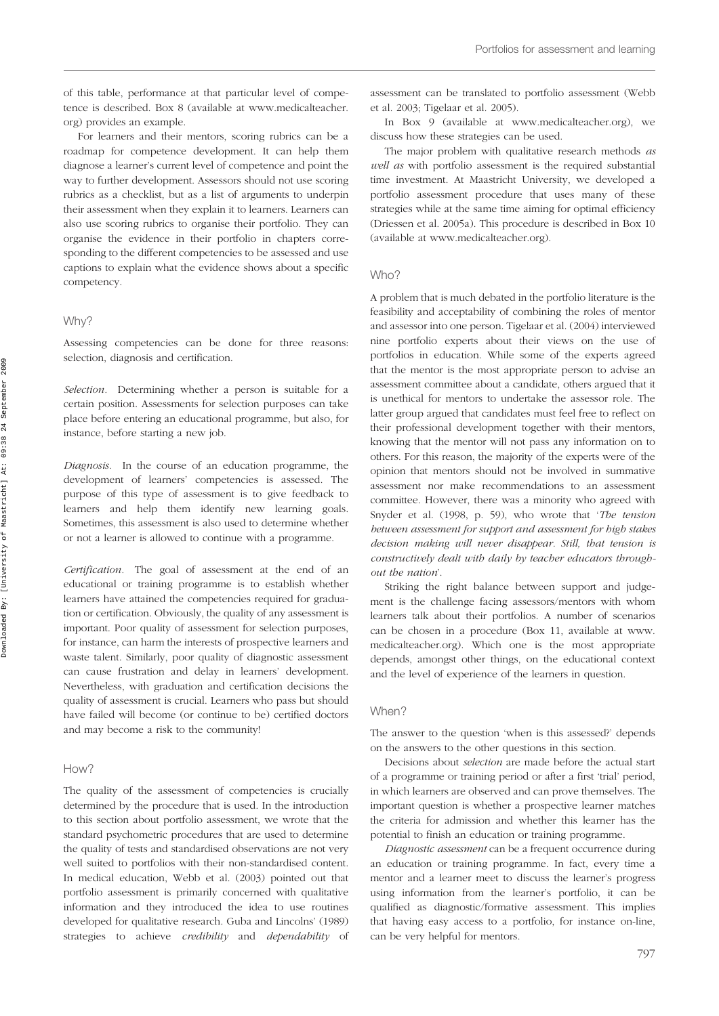of this table, performance at that particular level of competence is described. Box 8 (available at www.medicalteacher. org) provides an example.

For learners and their mentors, scoring rubrics can be a roadmap for competence development. It can help them diagnose a learner's current level of competence and point the way to further development. Assessors should not use scoring rubrics as a checklist, but as a list of arguments to underpin their assessment when they explain it to learners. Learners can also use scoring rubrics to organise their portfolio. They can organise the evidence in their portfolio in chapters corresponding to the different competencies to be assessed and use captions to explain what the evidence shows about a specific competency.

#### Why?

Assessing competencies can be done for three reasons: selection, diagnosis and certification.

Selection. Determining whether a person is suitable for a certain position. Assessments for selection purposes can take place before entering an educational programme, but also, for instance, before starting a new job.

Diagnosis. In the course of an education programme, the development of learners' competencies is assessed. The purpose of this type of assessment is to give feedback to learners and help them identify new learning goals. Sometimes, this assessment is also used to determine whether or not a learner is allowed to continue with a programme.

Certification. The goal of assessment at the end of an educational or training programme is to establish whether learners have attained the competencies required for graduation or certification. Obviously, the quality of any assessment is important. Poor quality of assessment for selection purposes, for instance, can harm the interests of prospective learners and waste talent. Similarly, poor quality of diagnostic assessment can cause frustration and delay in learners' development. Nevertheless, with graduation and certification decisions the quality of assessment is crucial. Learners who pass but should have failed will become (or continue to be) certified doctors and may become a risk to the community!

### How?

The quality of the assessment of competencies is crucially determined by the procedure that is used. In the introduction to this section about portfolio assessment, we wrote that the standard psychometric procedures that are used to determine the quality of tests and standardised observations are not very well suited to portfolios with their non-standardised content. In medical education, Webb et al. (2003) pointed out that portfolio assessment is primarily concerned with qualitative information and they introduced the idea to use routines developed for qualitative research. Guba and Lincolns' (1989) strategies to achieve credibility and dependability of

assessment can be translated to portfolio assessment (Webb et al. 2003; Tigelaar et al. 2005).

In Box 9 (available at www.medicalteacher.org), we discuss how these strategies can be used.

The major problem with qualitative research methods as well as with portfolio assessment is the required substantial time investment. At Maastricht University, we developed a portfolio assessment procedure that uses many of these strategies while at the same time aiming for optimal efficiency (Driessen et al. 2005a). This procedure is described in Box 10 (available at www.medicalteacher.org).

#### Who?

A problem that is much debated in the portfolio literature is the feasibility and acceptability of combining the roles of mentor and assessor into one person. Tigelaar et al. (2004) interviewed nine portfolio experts about their views on the use of portfolios in education. While some of the experts agreed that the mentor is the most appropriate person to advise an assessment committee about a candidate, others argued that it is unethical for mentors to undertake the assessor role. The latter group argued that candidates must feel free to reflect on their professional development together with their mentors, knowing that the mentor will not pass any information on to others. For this reason, the majority of the experts were of the opinion that mentors should not be involved in summative assessment nor make recommendations to an assessment committee. However, there was a minority who agreed with Snyder et al. (1998, p. 59), who wrote that 'The tension between assessment for support and assessment for high stakes decision making will never disappear. Still, that tension is constructively dealt with daily by teacher educators throughout the nation'.

Striking the right balance between support and judgement is the challenge facing assessors/mentors with whom learners talk about their portfolios. A number of scenarios can be chosen in a procedure (Box 11, available at www. medicalteacher.org). Which one is the most appropriate depends, amongst other things, on the educational context and the level of experience of the learners in question.

#### When?

The answer to the question 'when is this assessed?' depends on the answers to the other questions in this section.

Decisions about selection are made before the actual start of a programme or training period or after a first 'trial' period, in which learners are observed and can prove themselves. The important question is whether a prospective learner matches the criteria for admission and whether this learner has the potential to finish an education or training programme.

Diagnostic assessment can be a frequent occurrence during an education or training programme. In fact, every time a mentor and a learner meet to discuss the learner's progress using information from the learner's portfolio, it can be qualified as diagnostic/formative assessment. This implies that having easy access to a portfolio, for instance on-line, can be very helpful for mentors.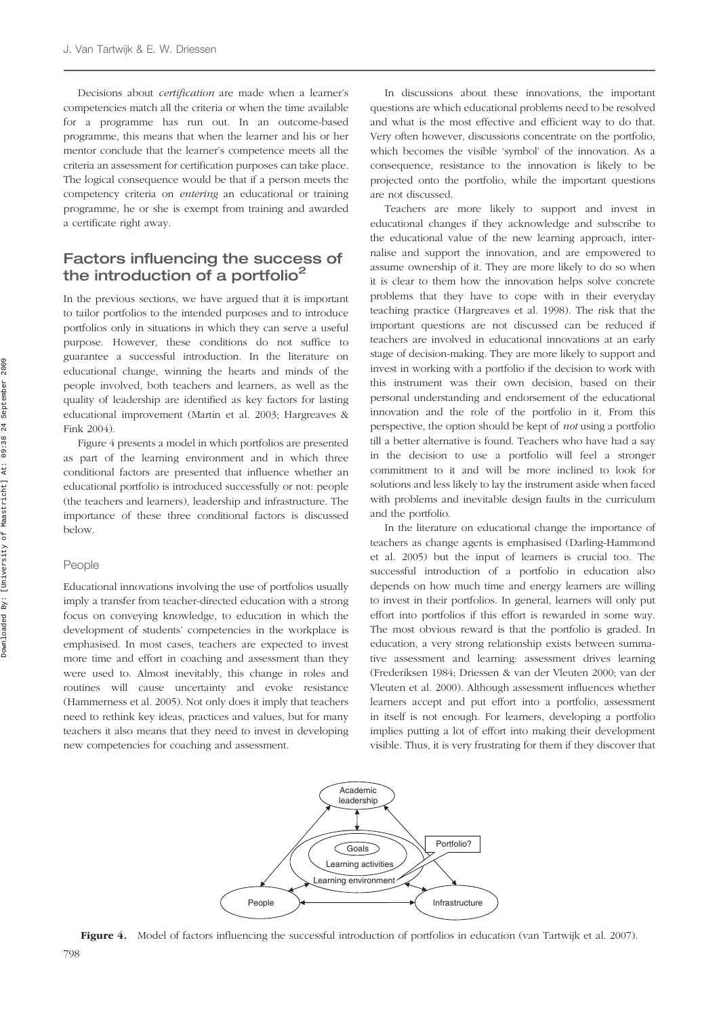Decisions about certification are made when a learner's competencies match all the criteria or when the time available for a programme has run out. In an outcome-based programme, this means that when the learner and his or her mentor conclude that the learner's competence meets all the criteria an assessment for certification purposes can take place. The logical consequence would be that if a person meets the competency criteria on entering an educational or training programme, he or she is exempt from training and awarded a certificate right away.

### Factors influencing the success of the introduction of a portfolio<sup>2</sup>

In the previous sections, we have argued that it is important to tailor portfolios to the intended purposes and to introduce portfolios only in situations in which they can serve a useful purpose. However, these conditions do not suffice to guarantee a successful introduction. In the literature on educational change, winning the hearts and minds of the people involved, both teachers and learners, as well as the quality of leadership are identified as key factors for lasting educational improvement (Martin et al. 2003; Hargreaves & Fink 2004).

Figure 4 presents a model in which portfolios are presented as part of the learning environment and in which three conditional factors are presented that influence whether an educational portfolio is introduced successfully or not: people (the teachers and learners), leadership and infrastructure. The importance of these three conditional factors is discussed below.

### People

Educational innovations involving the use of portfolios usually imply a transfer from teacher-directed education with a strong focus on conveying knowledge, to education in which the development of students' competencies in the workplace is emphasised. In most cases, teachers are expected to invest more time and effort in coaching and assessment than they were used to. Almost inevitably, this change in roles and routines will cause uncertainty and evoke resistance (Hammerness et al. 2005). Not only does it imply that teachers need to rethink key ideas, practices and values, but for many teachers it also means that they need to invest in developing new competencies for coaching and assessment.

In discussions about these innovations, the important questions are which educational problems need to be resolved and what is the most effective and efficient way to do that. Very often however, discussions concentrate on the portfolio, which becomes the visible 'symbol' of the innovation. As a consequence, resistance to the innovation is likely to be projected onto the portfolio, while the important questions are not discussed.

Teachers are more likely to support and invest in educational changes if they acknowledge and subscribe to the educational value of the new learning approach, internalise and support the innovation, and are empowered to assume ownership of it. They are more likely to do so when it is clear to them how the innovation helps solve concrete problems that they have to cope with in their everyday teaching practice (Hargreaves et al. 1998). The risk that the important questions are not discussed can be reduced if teachers are involved in educational innovations at an early stage of decision-making. They are more likely to support and invest in working with a portfolio if the decision to work with this instrument was their own decision, based on their personal understanding and endorsement of the educational innovation and the role of the portfolio in it. From this perspective, the option should be kept of not using a portfolio till a better alternative is found. Teachers who have had a say in the decision to use a portfolio will feel a stronger commitment to it and will be more inclined to look for solutions and less likely to lay the instrument aside when faced with problems and inevitable design faults in the curriculum and the portfolio.

In the literature on educational change the importance of teachers as change agents is emphasised (Darling-Hammond et al. 2005) but the input of learners is crucial too. The successful introduction of a portfolio in education also depends on how much time and energy learners are willing to invest in their portfolios. In general, learners will only put effort into portfolios if this effort is rewarded in some way. The most obvious reward is that the portfolio is graded. In education, a very strong relationship exists between summative assessment and learning: assessment drives learning (Frederiksen 1984; Driessen & van der Vleuten 2000; van der Vleuten et al. 2000). Although assessment influences whether learners accept and put effort into a portfolio, assessment in itself is not enough. For learners, developing a portfolio implies putting a lot of effort into making their development visible. Thus, it is very frustrating for them if they discover that



Figure 4. Model of factors influencing the successful introduction of portfolios in education (van Tartwijk et al. 2007).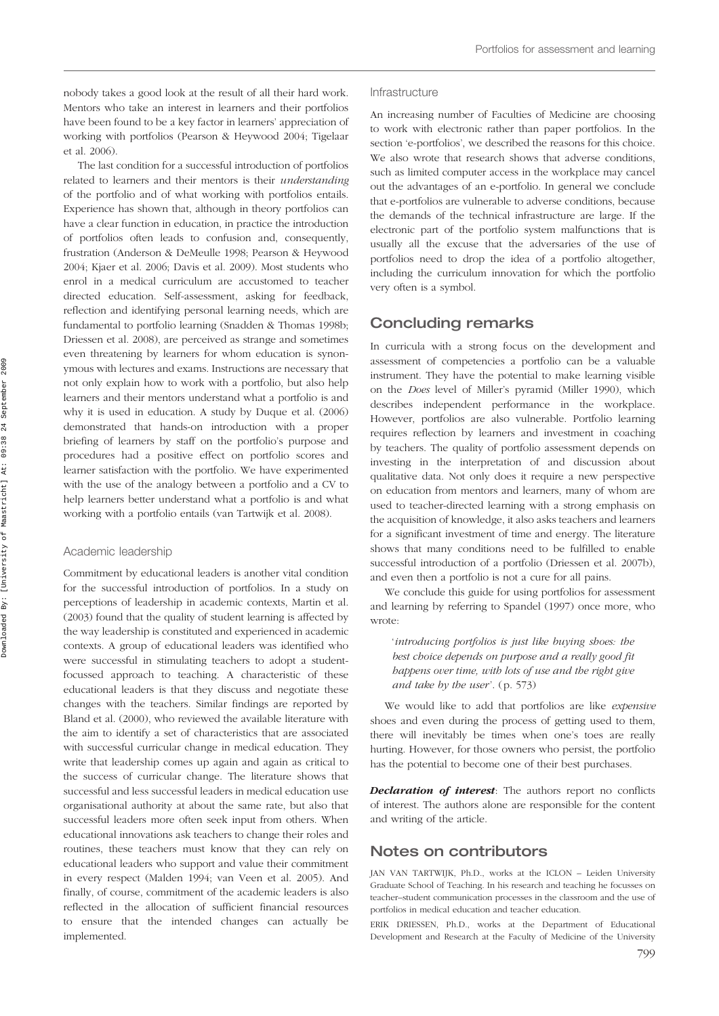nobody takes a good look at the result of all their hard work. Mentors who take an interest in learners and their portfolios have been found to be a key factor in learners' appreciation of working with portfolios (Pearson & Heywood 2004; Tigelaar et al. 2006).

The last condition for a successful introduction of portfolios related to learners and their mentors is their understanding of the portfolio and of what working with portfolios entails. Experience has shown that, although in theory portfolios can have a clear function in education, in practice the introduction of portfolios often leads to confusion and, consequently, frustration (Anderson & DeMeulle 1998; Pearson & Heywood 2004; Kjaer et al. 2006; Davis et al. 2009). Most students who enrol in a medical curriculum are accustomed to teacher directed education. Self-assessment, asking for feedback, reflection and identifying personal learning needs, which are fundamental to portfolio learning (Snadden & Thomas 1998b; Driessen et al. 2008), are perceived as strange and sometimes even threatening by learners for whom education is synonymous with lectures and exams. Instructions are necessary that not only explain how to work with a portfolio, but also help learners and their mentors understand what a portfolio is and why it is used in education. A study by Duque et al. (2006) demonstrated that hands-on introduction with a proper briefing of learners by staff on the portfolio's purpose and procedures had a positive effect on portfolio scores and learner satisfaction with the portfolio. We have experimented with the use of the analogy between a portfolio and a CV to help learners better understand what a portfolio is and what working with a portfolio entails (van Tartwijk et al. 2008).

### Academic leadership

Commitment by educational leaders is another vital condition for the successful introduction of portfolios. In a study on perceptions of leadership in academic contexts, Martin et al. (2003) found that the quality of student learning is affected by the way leadership is constituted and experienced in academic contexts. A group of educational leaders was identified who were successful in stimulating teachers to adopt a studentfocussed approach to teaching. A characteristic of these educational leaders is that they discuss and negotiate these changes with the teachers. Similar findings are reported by Bland et al. (2000), who reviewed the available literature with the aim to identify a set of characteristics that are associated with successful curricular change in medical education. They write that leadership comes up again and again as critical to the success of curricular change. The literature shows that successful and less successful leaders in medical education use organisational authority at about the same rate, but also that successful leaders more often seek input from others. When educational innovations ask teachers to change their roles and routines, these teachers must know that they can rely on educational leaders who support and value their commitment in every respect (Malden 1994; van Veen et al. 2005). And finally, of course, commitment of the academic leaders is also reflected in the allocation of sufficient financial resources to ensure that the intended changes can actually be implemented.

### Infrastructure

An increasing number of Faculties of Medicine are choosing to work with electronic rather than paper portfolios. In the section 'e-portfolios', we described the reasons for this choice. We also wrote that research shows that adverse conditions, such as limited computer access in the workplace may cancel out the advantages of an e-portfolio. In general we conclude that e-portfolios are vulnerable to adverse conditions, because the demands of the technical infrastructure are large. If the electronic part of the portfolio system malfunctions that is usually all the excuse that the adversaries of the use of portfolios need to drop the idea of a portfolio altogether, including the curriculum innovation for which the portfolio very often is a symbol.

### Concluding remarks

In curricula with a strong focus on the development and assessment of competencies a portfolio can be a valuable instrument. They have the potential to make learning visible on the Does level of Miller's pyramid (Miller 1990), which describes independent performance in the workplace. However, portfolios are also vulnerable. Portfolio learning requires reflection by learners and investment in coaching by teachers. The quality of portfolio assessment depends on investing in the interpretation of and discussion about qualitative data. Not only does it require a new perspective on education from mentors and learners, many of whom are used to teacher-directed learning with a strong emphasis on the acquisition of knowledge, it also asks teachers and learners for a significant investment of time and energy. The literature shows that many conditions need to be fulfilled to enable successful introduction of a portfolio (Driessen et al. 2007b), and even then a portfolio is not a cure for all pains.

We conclude this guide for using portfolios for assessment and learning by referring to Spandel (1997) once more, who wrote:

'introducing portfolios is just like buying shoes: the best choice depends on purpose and a really good fit happens over time, with lots of use and the right give and take by the user'.  $(p. 573)$ 

We would like to add that portfolios are like expensive shoes and even during the process of getting used to them, there will inevitably be times when one's toes are really hurting. However, for those owners who persist, the portfolio has the potential to become one of their best purchases.

Declaration of interest: The authors report no conflicts of interest. The authors alone are responsible for the content and writing of the article.

### Notes on contributors

JAN VAN TARTWIJK, Ph.D., works at the ICLON – Leiden University Graduate School of Teaching. In his research and teaching he focusses on teacher–student communication processes in the classroom and the use of portfolios in medical education and teacher education.

ERIK DRIESSEN, Ph.D., works at the Department of Educational Development and Research at the Faculty of Medicine of the University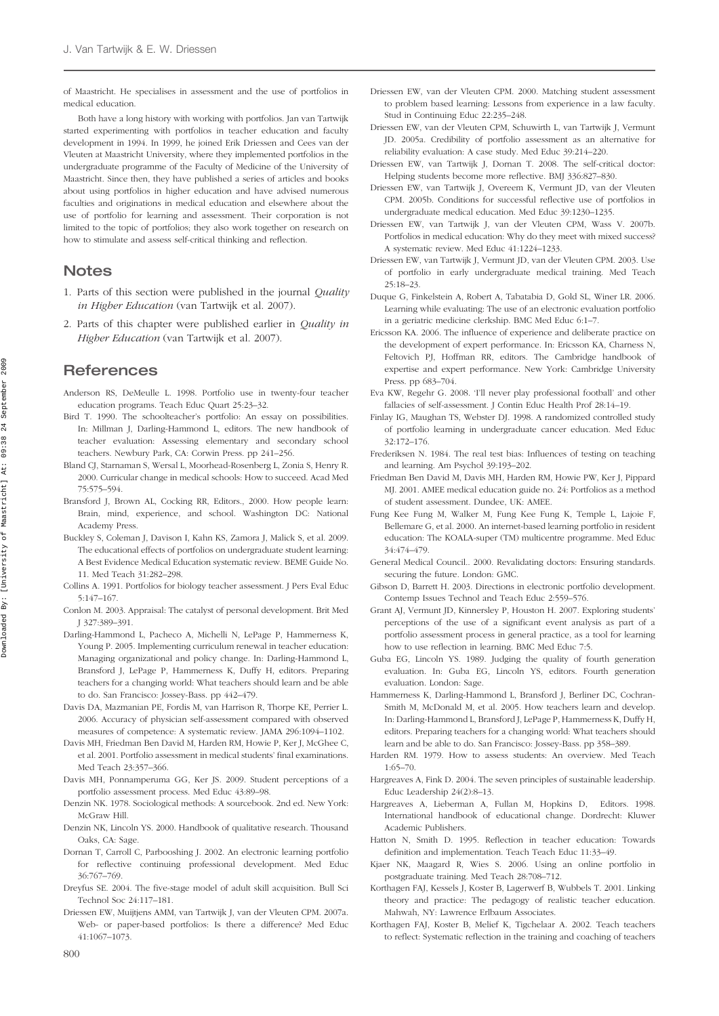of Maastricht. He specialises in assessment and the use of portfolios in medical education.

Both have a long history with working with portfolios. Jan van Tartwijk started experimenting with portfolios in teacher education and faculty development in 1994. In 1999, he joined Erik Driessen and Cees van der Vleuten at Maastricht University, where they implemented portfolios in the undergraduate programme of the Faculty of Medicine of the University of Maastricht. Since then, they have published a series of articles and books about using portfolios in higher education and have advised numerous faculties and originations in medical education and elsewhere about the use of portfolio for learning and assessment. Their corporation is not limited to the topic of portfolios; they also work together on research on how to stimulate and assess self-critical thinking and reflection.

### **Notes**

- 1. Parts of this section were published in the journal Quality in Higher Education (van Tartwijk et al. 2007).
- 2. Parts of this chapter were published earlier in Quality in Higher Education (van Tartwijk et al. 2007).

### **References**

- Anderson RS, DeMeulle L. 1998. Portfolio use in twenty-four teacher education programs. Teach Educ Quart 25:23–32.
- Bird T. 1990. The schoolteacher's portfolio: An essay on possibilities. In: Millman J, Darling-Hammond L, editors. The new handbook of teacher evaluation: Assessing elementary and secondary school teachers. Newbury Park, CA: Corwin Press. pp 241–256.
- Bland CJ, Starnaman S, Wersal L, Moorhead-Rosenberg L, Zonia S, Henry R. 2000. Curricular change in medical schools: How to succeed. Acad Med 75:575–594.
- Bransford J, Brown AL, Cocking RR, Editors., 2000. How people learn: Brain, mind, experience, and school. Washington DC: National Academy Press.
- Buckley S, Coleman J, Davison I, Kahn KS, Zamora J, Malick S, et al. 2009. The educational effects of portfolios on undergraduate student learning: A Best Evidence Medical Education systematic review. BEME Guide No. 11. Med Teach 31:282–298.
- Collins A. 1991. Portfolios for biology teacher assessment. J Pers Eval Educ 5:147–167.
- Conlon M. 2003. Appraisal: The catalyst of personal development. Brit Med J 327:389–391.
- Darling-Hammond L, Pacheco A, Michelli N, LePage P, Hammerness K, Young P. 2005. Implementing curriculum renewal in teacher education: Managing organizational and policy change. In: Darling-Hammond L, Bransford J, LePage P, Hammerness K, Duffy H, editors. Preparing teachers for a changing world: What teachers should learn and be able to do. San Francisco: Jossey-Bass. pp 442–479.
- Davis DA, Mazmanian PE, Fordis M, van Harrison R, Thorpe KE, Perrier L. 2006. Accuracy of physician self-assessment compared with observed measures of competence: A systematic review. JAMA 296:1094–1102.
- Davis MH, Friedman Ben David M, Harden RM, Howie P, Ker J, McGhee C, et al. 2001. Portfolio assessment in medical students' final examinations. Med Teach 23:357–366.
- Davis MH, Ponnamperuma GG, Ker JS. 2009. Student perceptions of a portfolio assessment process. Med Educ 43:89–98.
- Denzin NK. 1978. Sociological methods: A sourcebook. 2nd ed. New York: McGraw Hill.
- Denzin NK, Lincoln YS. 2000. Handbook of qualitative research. Thousand Oaks, CA: Sage.
- Dornan T, Carroll C, Parbooshing J. 2002. An electronic learning portfolio for reflective continuing professional development. Med Educ 36:767–769.
- Dreyfus SE. 2004. The five-stage model of adult skill acquisition. Bull Sci Technol Soc 24:117–181.
- Driessen EW, Muijtjens AMM, van Tartwijk J, van der Vleuten CPM. 2007a. Web- or paper-based portfolios: Is there a difference? Med Educ 41:1067–1073.
- Driessen EW, van der Vleuten CPM. 2000. Matching student assessment to problem based learning: Lessons from experience in a law faculty. Stud in Continuing Educ 22:235–248.
- Driessen EW, van der Vleuten CPM, Schuwirth L, van Tartwijk J, Vermunt JD. 2005a. Credibility of portfolio assessment as an alternative for reliability evaluation: A case study. Med Educ 39:214–220.
- Driessen EW, van Tartwijk J, Dornan T. 2008. The self-critical doctor: Helping students become more reflective. BMJ 336:827–830.
- Driessen EW, van Tartwijk J, Overeem K, Vermunt JD, van der Vleuten CPM. 2005b. Conditions for successful reflective use of portfolios in undergraduate medical education. Med Educ 39:1230–1235.
- Driessen EW, van Tartwijk J, van der Vleuten CPM, Wass V. 2007b. Portfolios in medical education: Why do they meet with mixed success? A systematic review. Med Educ 41:1224–1233.
- Driessen EW, van Tartwijk J, Vermunt JD, van der Vleuten CPM. 2003. Use of portfolio in early undergraduate medical training. Med Teach 25:18–23.
- Duque G, Finkelstein A, Robert A, Tabatabia D, Gold SL, Winer LR. 2006. Learning while evaluating: The use of an electronic evaluation portfolio in a geriatric medicine clerkship. BMC Med Educ 6:1–7.
- Ericsson KA. 2006. The influence of experience and deliberate practice on the development of expert performance. In: Ericsson KA, Charness N, Feltovich PJ, Hoffman RR, editors. The Cambridge handbook of expertise and expert performance. New York: Cambridge University Press. pp 683–704.
- Eva KW, Regehr G. 2008. 'I'll never play professional football' and other fallacies of self-assessment. J Contin Educ Health Prof 28:14–19.
- Finlay IG, Maughan TS, Webster DJ. 1998. A randomized controlled study of portfolio learning in undergraduate cancer education. Med Educ 32:172–176.
- Frederiksen N. 1984. The real test bias: Influences of testing on teaching and learning. Am Psychol 39:193–202.
- Friedman Ben David M, Davis MH, Harden RM, Howie PW, Ker J, Pippard MJ. 2001. AMEE medical education guide no. 24: Portfolios as a method of student assessment. Dundee, UK: AMEE.
- Fung Kee Fung M, Walker M, Fung Kee Fung K, Temple L, Lajoie F, Bellemare G, et al. 2000. An internet-based learning portfolio in resident education: The KOALA-super (TM) multicentre programme. Med Educ 34:474–479.
- General Medical Council.. 2000. Revalidating doctors: Ensuring standards. securing the future. London: GMC.
- Gibson D, Barrett H. 2003. Directions in electronic portfolio development. Contemp Issues Technol and Teach Educ 2:559–576.
- Grant AJ, Vermunt JD, Kinnersley P, Houston H. 2007. Exploring students' perceptions of the use of a significant event analysis as part of a portfolio assessment process in general practice, as a tool for learning how to use reflection in learning. BMC Med Educ 7:5.
- Guba EG, Lincoln YS. 1989. Judging the quality of fourth generation evaluation. In: Guba EG, Lincoln YS, editors. Fourth generation evaluation. London: Sage.
- Hammerness K, Darling-Hammond L, Bransford J, Berliner DC, Cochran-Smith M, McDonald M, et al. 2005. How teachers learn and develop. In: Darling-Hammond L, Bransford J, LePage P, Hammerness K, Duffy H, editors. Preparing teachers for a changing world: What teachers should learn and be able to do. San Francisco: Jossey-Bass. pp 358–389.
- Harden RM. 1979. How to assess students: An overview. Med Teach 1:65–70.
- Hargreaves A, Fink D. 2004. The seven principles of sustainable leadership. Educ Leadership 24(2):8–13.
- Hargreaves A, Lieberman A, Fullan M, Hopkins D, Editors. 1998. International handbook of educational change. Dordrecht: Kluwer Academic Publishers.
- Hatton N, Smith D. 1995. Reflection in teacher education: Towards definition and implementation. Teach Teach Educ 11:33–49.
- Kjaer NK, Maagard R, Wies S. 2006. Using an online portfolio in postgraduate training. Med Teach 28:708–712.
- Korthagen FAJ, Kessels J, Koster B, Lagerwerf B, Wubbels T. 2001. Linking theory and practice: The pedagogy of realistic teacher education. Mahwah, NY: Lawrence Erlbaum Associates.
- Korthagen FAJ, Koster B, Melief K, Tigchelaar A. 2002. Teach teachers to reflect: Systematic reflection in the training and coaching of teachers

2009